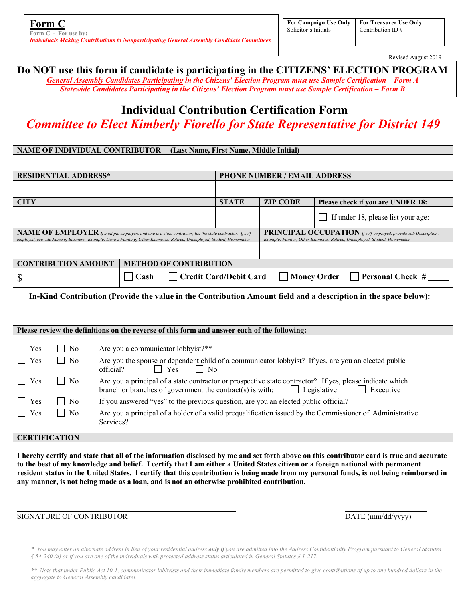**Form C Form C - For use by:**  *Individuals Making Contributions to Nonparticipating General Assembly Candidate Committees* 

Revised August 2019

## **Do NOT use this form if candidate is participating in the CITIZENS' ELECTION PROGRAM**

j

*General Assembly Candidates Participating in the Citizens' Election Program must use Sample Certification – Form A Statewide Candidates Participating in the Citizens' Election Program must use Sample Certification – Form B*

# **Individual Contribution Certification Form** *Committee to Elect Kimberly Fiorello for State Representative for District 149*

| <b>NAME OF INDIVIDUAL CONTRIBUTOR</b><br>(Last Name, First Name, Middle Initial)                                                                                                                                                                                                                                                                                                                                                                                                                                    |                                                                                                                                                                                                                 |                              |                                                                                                                                              |                                    |  |
|---------------------------------------------------------------------------------------------------------------------------------------------------------------------------------------------------------------------------------------------------------------------------------------------------------------------------------------------------------------------------------------------------------------------------------------------------------------------------------------------------------------------|-----------------------------------------------------------------------------------------------------------------------------------------------------------------------------------------------------------------|------------------------------|----------------------------------------------------------------------------------------------------------------------------------------------|------------------------------------|--|
|                                                                                                                                                                                                                                                                                                                                                                                                                                                                                                                     |                                                                                                                                                                                                                 |                              |                                                                                                                                              |                                    |  |
| <b>RESIDENTIAL ADDRESS*</b>                                                                                                                                                                                                                                                                                                                                                                                                                                                                                         |                                                                                                                                                                                                                 | PHONE NUMBER / EMAIL ADDRESS |                                                                                                                                              |                                    |  |
|                                                                                                                                                                                                                                                                                                                                                                                                                                                                                                                     |                                                                                                                                                                                                                 |                              |                                                                                                                                              |                                    |  |
| <b>CITY</b>                                                                                                                                                                                                                                                                                                                                                                                                                                                                                                         |                                                                                                                                                                                                                 | <b>STATE</b>                 | <b>ZIP CODE</b>                                                                                                                              | Please check if you are UNDER 18:  |  |
|                                                                                                                                                                                                                                                                                                                                                                                                                                                                                                                     |                                                                                                                                                                                                                 |                              |                                                                                                                                              | If under 18, please list your age: |  |
| NAME OF EMPLOYER If multiple employers and one is a state contractor, list the state contractor. If self-<br>employed, provide Name of Business. Example: Dave's Painting; Other Examples: Retired, Unemployed, Student, Homemaker                                                                                                                                                                                                                                                                                  |                                                                                                                                                                                                                 |                              | PRINCIPAL OCCUPATION If self-employed, provide Job Description.<br>Example: Painter; Other Examples: Retired, Unemployed, Student, Homemaker |                                    |  |
|                                                                                                                                                                                                                                                                                                                                                                                                                                                                                                                     |                                                                                                                                                                                                                 |                              |                                                                                                                                              |                                    |  |
| <b>CONTRIBUTION AMOUNT</b><br><b>METHOD OF CONTRIBUTION</b>                                                                                                                                                                                                                                                                                                                                                                                                                                                         |                                                                                                                                                                                                                 |                              |                                                                                                                                              |                                    |  |
| <b>Credit Card/Debit Card</b><br><b>Money Order</b><br><b>Personal Check #</b><br>Cash<br>\$                                                                                                                                                                                                                                                                                                                                                                                                                        |                                                                                                                                                                                                                 |                              |                                                                                                                                              |                                    |  |
| In-Kind Contribution (Provide the value in the Contribution Amount field and a description in the space below):                                                                                                                                                                                                                                                                                                                                                                                                     |                                                                                                                                                                                                                 |                              |                                                                                                                                              |                                    |  |
|                                                                                                                                                                                                                                                                                                                                                                                                                                                                                                                     |                                                                                                                                                                                                                 |                              |                                                                                                                                              |                                    |  |
|                                                                                                                                                                                                                                                                                                                                                                                                                                                                                                                     |                                                                                                                                                                                                                 |                              |                                                                                                                                              |                                    |  |
| Please review the definitions on the reverse of this form and answer each of the following:                                                                                                                                                                                                                                                                                                                                                                                                                         |                                                                                                                                                                                                                 |                              |                                                                                                                                              |                                    |  |
|                                                                                                                                                                                                                                                                                                                                                                                                                                                                                                                     |                                                                                                                                                                                                                 |                              |                                                                                                                                              |                                    |  |
| N <sub>0</sub><br>Yes                                                                                                                                                                                                                                                                                                                                                                                                                                                                                               | Are you a communicator lobbyist?**                                                                                                                                                                              |                              |                                                                                                                                              |                                    |  |
| Yes<br>N <sub>0</sub>                                                                                                                                                                                                                                                                                                                                                                                                                                                                                               | Are you the spouse or dependent child of a communicator lobbyist? If yes, are you an elected public<br>official?<br>$\Box$ Yes<br>$\mathsf{L}$ No                                                               |                              |                                                                                                                                              |                                    |  |
| Yes<br>N <sub>0</sub>                                                                                                                                                                                                                                                                                                                                                                                                                                                                                               | Are you a principal of a state contractor or prospective state contractor? If yes, please indicate which<br>branch or branches of government the contract(s) is with:<br>$\Box$ Legislative<br>$\Box$ Executive |                              |                                                                                                                                              |                                    |  |
| Yes<br>N <sub>0</sub>                                                                                                                                                                                                                                                                                                                                                                                                                                                                                               | If you answered "yes" to the previous question, are you an elected public official?                                                                                                                             |                              |                                                                                                                                              |                                    |  |
| Yes<br>N <sub>0</sub>                                                                                                                                                                                                                                                                                                                                                                                                                                                                                               | Are you a principal of a holder of a valid prequalification issued by the Commissioner of Administrative<br>Services?                                                                                           |                              |                                                                                                                                              |                                    |  |
| <b>CERTIFICATION</b>                                                                                                                                                                                                                                                                                                                                                                                                                                                                                                |                                                                                                                                                                                                                 |                              |                                                                                                                                              |                                    |  |
| I hereby certify and state that all of the information disclosed by me and set forth above on this contributor card is true and accurate<br>to the best of my knowledge and belief. I certify that I am either a United States citizen or a foreign national with permanent<br>resident status in the United States. I certify that this contribution is being made from my personal funds, is not being reimbursed in<br>any manner, is not being made as a loan, and is not an otherwise prohibited contribution. |                                                                                                                                                                                                                 |                              |                                                                                                                                              |                                    |  |
| SIGNATURE OF CONTRIBUTOR                                                                                                                                                                                                                                                                                                                                                                                                                                                                                            |                                                                                                                                                                                                                 |                              | DATE (mm/dd/yyyy)                                                                                                                            |                                    |  |
|                                                                                                                                                                                                                                                                                                                                                                                                                                                                                                                     |                                                                                                                                                                                                                 |                              |                                                                                                                                              |                                    |  |

*\*\* Note that under Public Act 10-1, communicator lobbyists and their immediate family members are permitted to give contributions of up to one hundred dollars in the aggregate to General Assembly candidates.* 

*<sup>\*</sup> You may enter an alternate address in lieu of your residential address only if you are admitted into the Address Confidentiality Program pursuant to General Statutes § 54-240 (a) or if you are one of the individuals with protected address status articulated in General Statutes § 1-217.*